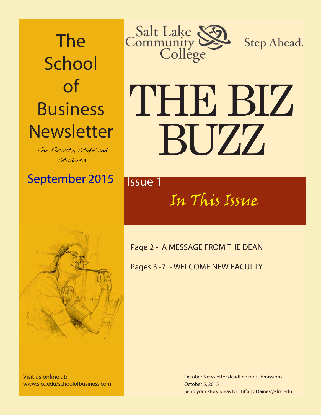The **School** of Business **Newsletter** 

For Faculty, Staff and Students

September 2015 **Issue 1** 



Step Ahead.

# THE BIZ BUZZ

# In This Issue



Visit us online at: www.slcc.edu/schoolofbusiness.com Page 2 - A MESSAGE FROM THE DEAN

Pages 3 -7 - WELCOME NEW FACULTY

October Newsletter deadline for submissions: October 5, 2015 Send your story ideas to: Tiffany.Daines@slcc.edu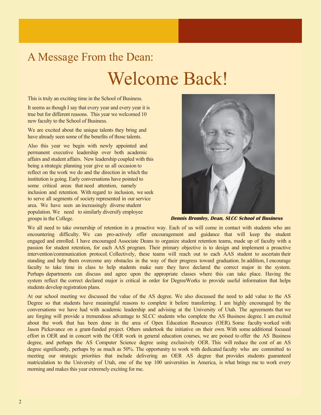## A Message From the Dean: Welcome Back!

This is truly an exciting time in the School of Business.

It seems as though I say that every year and every year it is true but for different reasons. This year we welcomed 10 new faculty to the School of Business.

We are excited about the unique talents they bring and have already seen some of the benefits of those talents.

Also this year we begin with newly appointed and permanent executive leadership over both academic affairs and student affairs. New leadership coupled with this being a strategic planning year give us all occasion to reflect on the work we do and the direction in which the institution is going. Early conversations have pointed to some critical areas that need attention, namely inclusion and retention. With regard to inclusion, we seek to serve all segments of society represented in our service area. We have seen an increasingly diverse student population. We need to similarly diversify employee groups in the College.



 **Dennis Bromley, Dean, SLCC School of Business**

We all need to take ownership of retention in a proactive way. Each of us will come in contact with students who are encountering difficulty. We can pro-actively offer encouragement and guidance that will keep the student engaged and enrolled. I have encouraged Associate Deans to organize student retention teams, made up of faculty with a passion for student retention, for each AAS program. Their primary objective is to design and implement a proactive intervention/communication protocol. Collectively, these teams will reach out to each AAS student to ascertain their standing and help them overcome any obstacles in the way of their progress toward graduation. In addition, I encourage faculty to take time in class to help students make sure they have declared the correct major in the system. Perhaps departments can discuss and agree upon the appropriate classes where this can take place. Having the system reflect the correct declared major is critical in order for DegreeWorks to provide useful information that helps students develop registration plans.

At our school meeting we discussed the value of the AS degree. We also discussed the need to add value to the AS Degree so that students have meaningful reasons to complete it before transferring. I am highly encouraged by the conversations we have had with academic leadership and advising at the University of Utah. The agreements that we are forging will provide a tremendous advantage to SLCC students who complete the AS Business degree. I am excited about the work that has been done in the area of Open Education Resources (OER). Some faculty worked with Jason Pickavance on a grant-funded project. Others undertook the initiative on their own. With some additional focused effort in OER and in concert with the OER work in general education courses, we are poised to offer the AS Business degree, and perhaps the AS Computer Science degree using exclusively OER. This will reduce the cost of an AS degree significantly, perhaps by as much as 50%. The opportunity to work with dedicated faculty who are committed to meeting our strategic priorities that include delivering an OER AS degree that provides students guaranteed matriculation to the University of Utah, one of the top 100 universities in America, is what brings me to work every morning and makes this year extremely exciting for me.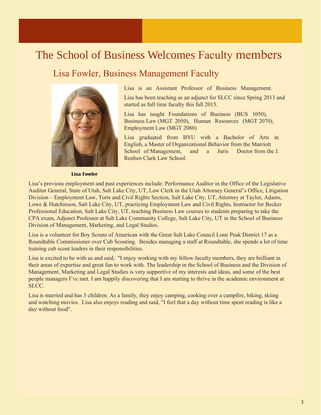#### The School of Business Welcomes Faculty members

#### Lisa Fowler, Business Management Faculty



Lisa is an Assistant Professor of Business Management.

Lisa has been teaching as an adjunct for SLCC since Spring 2013 and started as full time faculty this fall 2015.

Lisa has taught Foundations of Business (BUS 1050), Business Law (MGT 2050), Human Resources (MGT 2070), Employment Law (MGT 2080)

Lisa graduated from BYU with a Bachelor of Arts in English, a Master of Organizational Behavior from the Marriott School of Management, and a Juris Doctor from the J. Reuben Clark Law School.

 **Lisa Fowler** 

Lisa's previous employment and past experiences include: Performance Auditor in the Office of the Legislative Auditor General, State of Utah, Salt Lake City, UT, Law Clerk in the Utah Attorney General's Office, Litigation Division – Employment Law, Torts and Civil Rights Section, Salt Lake City, UT, Attorney at Taylor, Adams, Lowe & Hutchinson, Salt Lake City, UT, practicing Employment Law and Civil Rights, Instructor for Becker Professional Education, Salt Lake City, UT, teaching Business Law courses to students preparing to take the CPA exam, Adjunct Professor at Salt Lake Community College, Salt Lake City, UT in the School of Business Division of Management, Marketing, and Legal Studies.

Lisa is a volunteer for Boy Scouts of American with the Great Salt Lake Council Lone Peak District 17 as a Roundtable Commissioner over Cub Scouting. Besides managing a staff at Roundtable, she spends a lot of time training cub scout leaders in their responsibilities.

Lisa is excited to be with us and said, "I enjoy working with my fellow faculty members, they are brilliant in their areas of expertise and great fun to work with. The leadership in the School of Business and the Division of Management, Marketing and Legal Studies is very supportive of my interests and ideas, and some of the best people managers I've met. I am happily discovering that I am starting to thrive in the academic environment at SLCC.

Lisa is married and has 3 children. As a family, they enjoy camping, cooking over a campfire, hiking, skiing and watching movies. Lisa also enjoys reading and said, "I feel that a day without time spent reading is like a day without food".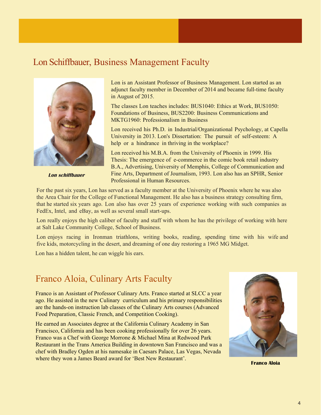#### Lon Schiffbauer, Business Management Faculty



 **Lon schiffbauer** 

Lon is an Assistant Professor of Business Management. Lon started as an adjunct faculty member in December of 2014 and became full-time faculty in August of 2015.

The classes Lon teaches includes: BUS1040: Ethics at Work, BUS1050: Foundations of Business, BUS2200: Business Communications and MKTG1960: Professionalism in Business

Lon received his Ph.D. in Industrial/Organizational Psychology, at Capella University in 2013. Lon's Dissertation: The pursuit of self-esteem: A help or a hindrance in thriving in the workplace?

Lon received his M.B.A. from the University of Phoenix in 1999. His Thesis: The emergence of e-commerce in the comic book retail industry B.A., Advertising, University of Memphis, College of Communication and Fine Arts, Department of Journalism, 1993. Lon also has an SPHR, Senior Professional in Human Resources.

For the past six years, Lon has served as a faculty member at the University of Phoenix where he was also the Area Chair for the College of Functional Management. He also has a business strategy consulting firm, that he started six years ago. Lon also has over 25 years of experience working with such companies as FedEx, Intel, and eBay, as well as several small start-ups.

Lon really enjoys the high caliber of faculty and staff with whom he has the privilege of working with here at Salt Lake Community College, School of Business.

Lon enjoys racing in Ironman triathlons, writing books, reading, spending time with his wife and five kids, motorcycling in the desert, and dreaming of one day restoring a 1965 MG Midget.

Lon has a hidden talent, he can wiggle his ears.

#### Franco Aloia, Culinary Arts Faculty

Franco is an Assistant of Professor Culinary Arts. Franco started at SLCC a year ago. He assisted in the new Culinary curriculum and his primary responsibilities are the hands-on instruction lab classes of the Culinary Arts courses (Advanced Food Preparation, Classic French, and Competition Cooking).

He earned an Associates degree at the California Culinary Academy in San Francisco, California and has been cooking professionally for over 26 years. Franco was a Chef with George Morrone & Michael Mina at Redwood Park Restaurant in the Trans America Building in downtown San Francisco and was a chef with Bradley Ogden at his namesake in Caesars Palace, Las Vegas, Nevada where they won a James Beard award for 'Best New Restaurant'.



**Franco Aloia**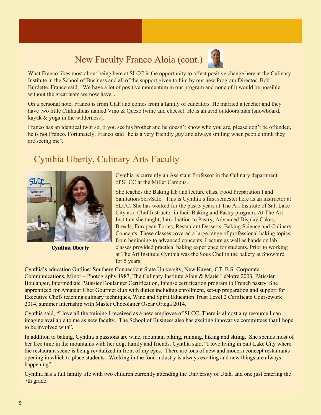### New Faculty Franco Aloia (cont.)



What Franco likes most about being here at SLCC is the opportunity to affect positive change here at the Culinary Institute in the School of Business and all of the support given to him by our new Program Director, Bob Burdette. Franco said, "We have a lot of positive momentum in our program and none of it would be possible without the great team we now have".

On a personal note, Franco is from Utah and comes from a family of educators. He married a teacher and they have two little Chihuahuas named Vino & Queso (wine and cheese). He is an avid outdoors man (snowboard, kayak & yoga in the wilderness).

Franco has an identical twin so, if you see his brother and he doesn't know who you are, please don't be offended, he is not Franco. Fortunately, Franco said "he is a very friendly guy and always smiling when people think they are seeing me".

#### Cynthia Uberty, Culinary Arts Faculty



**Cynthia Uberty**

Cynthia is currently an Assistant Professor in the Culinary department of SLCC at the Miller Campus.

She teaches the Baking lab and lecture class, Food Preparation I and Sanitation/ServSafe. This is Cynthia's first semester here as an instructor at SLCC. She has worked for the past 3 years at The Art Institute of Salt Lake City as a Chef Instructor in their Baking and Pastry program. At The Art Institute she taught, Introduction to Pastry, Advanced Display Cakes, Breads, European Tortes, Restaurant Desserts, Baking Science and Culinary Concepts. These classes covered a large range of professional baking topics from beginning to advanced concepts. Lecture as well as hands on lab classes provided practical baking experience for students. Prior to working at The Art Institute Cynthia was the Sous Chef in the bakery at Snowbird for 5 years.

Cynthia's education Outline: Southern Connecticut State University, New Haven, CT, B.S. Corporate Communications, Minor – Photography 1987, The Culinary Institute Alain & Marie LeNotre 2003, Pâtissier Boulanger, Intermédiate Pâtissier Boulanger Certification, Intense certification program in French pastry. She apprenticed for Amateur Chef Gourmet club with duties including enrollment, set-up preparation and support for Executive Chefs teaching culinary techniques, Wine and Spirit Education Trust Level 2 Certificate Coursework 2014, summer Internship with Master Chocolatier Oscar Ortega 2014.

Cynthia said, "I love all the training I received as a new employee of SLCC. There is almost any resource I can imagine available to me as new faculty. The School of Business also has exciting innovative committees that I hope to be involved with".

In addition to baking, Cynthia's passions are wine, mountain biking, running, hiking and skiing. She spends most of her free time in the mountains with her dog, family and friends. Cynthia said, "I love living in Salt Lake City where the restaurant scene is being revitalized in front of my eyes. There are tons of new and modern concept restaurants opening in which to place students. Working in the food industry is always exciting and new things are always happening".

Cynthia has a full family life with two children currently attending the University of Utah, and one just entering the 7th grade.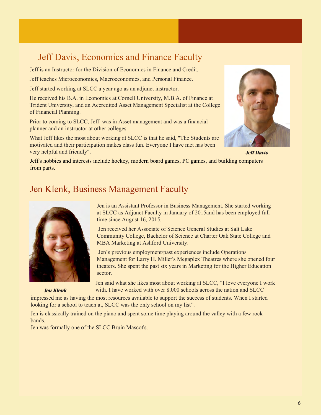#### Jeff Davis, Economics and Finance Faculty

Jeff is an Instructor for the Division of Economics in Finance and Credit.

Jeff teaches Microeconomics, Macroeconomics, and Personal Finance.

Jeff started working at SLCC a year ago as an adjunct instructor.

He received his B.A. in Economics at Cornell University, M.B.A. of Finance at Trident University, and an Accredited Asset Management Specialist at the College of Financial Planning.

Prior to coming to SLCC, Jeff was in Asset management and was a financial planner and an instructor at other colleges.

What Jeff likes the most about working at SLCC is that he said, "The Students are motivated and their participation makes class fun. Everyone I have met has been very helpful and friendly".



**Jeff Davis**

Jeff's hobbies and interests include hockey, modern board games, PC games, and building computers from parts.

#### Jen Klenk, Business Management Faculty



 **Jen Klenk**

Jen is an Assistant Professor in Business Management. She started working at SLCC as Adjunct Faculty in January of 2015and has been employed full time since August 16, 2015.

 Jen received her Associate of Science General Studies at Salt Lake Community College, Bachelor of Science at Charter Oak State College and MBA Marketing at Ashford University.

 Jen's previous employment/past experiences include Operations Management for Larry H. Miller's Megaplex Theatres where she opened four theaters. She spent the past six years in Marketing for the Higher Education sector.

Jen said what she likes most about working at SLCC, "I love everyone I work with. I have worked with over 8,000 schools across the nation and SLCC

impressed me as having the most resources available to support the success of students. When I started looking for a school to teach at, SLCC was the only school on my list".

Jen is classically trained on the piano and spent some time playing around the valley with a few rock bands.

Jen was formally one of the SLCC Bruin Mascot's.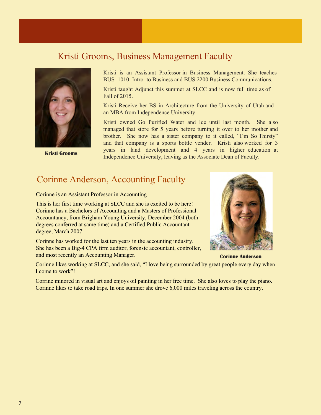#### Kristi Grooms, Business Management Faculty



Kristi is an Assistant Professor in Business Management. She teaches BUS 1010 Intro to Business and BUS 2200 Business Communications.

Kristi taught Adjunct this summer at SLCC and is now full time as of Fall of 2015.

Kristi Receive her BS in Architecture from the University of Utah and an MBA from Independence University.

Kristi owned Go Purified Water and Ice until last month. She also managed that store for 5 years before turning it over to her mother and brother. She now has a sister company to it called, "I'm So Thirsty" and that company is a sports bottle vender. Kristi also worked for 3 years in land development and 4 years in higher education at **Kristi Grooms** being the Independence University, leaving as the Associate Dean of Faculty.

#### Corinne Anderson, Accounting Faculty

Corinne is an Assistant Professor in Accounting

This is her first time working at SLCC and she is excited to be here! Corinne has a Bachelors of Accounting and a Masters of Professional Accountancy, from Brigham Young University, December 2004 (both degrees conferred at same time) and a Certified Public Accountant degree, March 2007

Corinne has worked for the last ten years in the accounting industry. She has been a Big-4 CPA firm auditor, forensic accountant, controller, and most recently an Accounting Manager.



**Corinne Anderson**

Corinne likes working at SLCC, and she said, "I love being surrounded by great people every day when I come to work"!

Corrine minored in visual art and enjoys oil painting in her free time. She also loves to play the piano. Corinne likes to take road trips. In one summer she drove 6,000 miles traveling across the country.